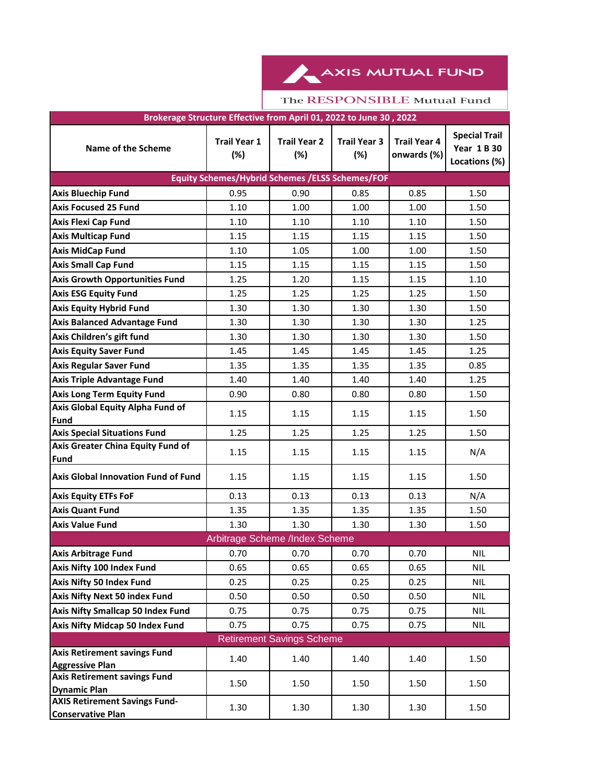AXIS MUTUAL FUND

| Brokerage Structure Effective from April 01, 2022 to June 30, 2022 |                                |                            |                            |                                    |                                                             |  |  |  |  |
|--------------------------------------------------------------------|--------------------------------|----------------------------|----------------------------|------------------------------------|-------------------------------------------------------------|--|--|--|--|
| Name of the Scheme                                                 | <b>Trail Year 1</b><br>(%)     | <b>Trail Year 2</b><br>(%) | <b>Trail Year 3</b><br>(%) | <b>Trail Year 4</b><br>onwards (%) | <b>Special Trail</b><br><b>Year 1 B 30</b><br>Locations (%) |  |  |  |  |
| <b>Equity Schemes/Hybrid Schemes /ELSS Schemes/FOF</b>             |                                |                            |                            |                                    |                                                             |  |  |  |  |
| <b>Axis Bluechip Fund</b>                                          | 0.95                           | 0.90                       | 0.85                       | 0.85                               | 1.50                                                        |  |  |  |  |
| <b>Axis Focused 25 Fund</b>                                        | 1.10                           | 1.00                       | 1.00                       | 1.00                               | 1.50                                                        |  |  |  |  |
| <b>Axis Flexi Cap Fund</b>                                         | 1.10                           | 1.10                       | 1.10                       | 1.10                               | 1.50                                                        |  |  |  |  |
| <b>Axis Multicap Fund</b>                                          | 1.15                           | 1.15                       | 1.15                       | 1.15                               | 1.50                                                        |  |  |  |  |
| <b>Axis MidCap Fund</b>                                            | 1.10                           | 1.05                       | 1.00                       | 1.00                               | 1.50                                                        |  |  |  |  |
| <b>Axis Small Cap Fund</b>                                         | 1.15                           | 1.15                       | 1.15                       | 1.15                               | 1.50                                                        |  |  |  |  |
| <b>Axis Growth Opportunities Fund</b>                              | 1.25                           | 1.20                       | 1.15                       | 1.15                               | 1.10                                                        |  |  |  |  |
| <b>Axis ESG Equity Fund</b>                                        | 1.25                           | 1.25                       | 1.25                       | 1.25                               | 1.50                                                        |  |  |  |  |
| <b>Axis Equity Hybrid Fund</b>                                     | 1.30                           | 1.30                       | 1.30                       | 1.30                               | 1.50                                                        |  |  |  |  |
| <b>Axis Balanced Advantage Fund</b>                                | 1.30                           | 1.30                       | 1.30                       | 1.30                               | 1.25                                                        |  |  |  |  |
| Axis Children's gift fund                                          | 1.30                           | 1.30                       | 1.30                       | 1.30                               | 1.50                                                        |  |  |  |  |
| <b>Axis Equity Saver Fund</b>                                      | 1.45                           | 1.45                       | 1.45                       | 1.45                               | 1.25                                                        |  |  |  |  |
| <b>Axis Regular Saver Fund</b>                                     | 1.35                           | 1.35                       | 1.35                       | 1.35                               | 0.85                                                        |  |  |  |  |
| <b>Axis Triple Advantage Fund</b>                                  | 1.40                           | 1.40                       | 1.40                       | 1.40                               | 1.25                                                        |  |  |  |  |
| <b>Axis Long Term Equity Fund</b>                                  | 0.90                           | 0.80                       | 0.80                       | 0.80                               | 1.50                                                        |  |  |  |  |
| Axis Global Equity Alpha Fund of<br>Fund                           | 1.15                           | 1.15                       | 1.15                       | 1.15                               | 1.50                                                        |  |  |  |  |
| <b>Axis Special Situations Fund</b>                                | 1.25                           | 1.25                       | 1.25                       | 1.25                               | 1.50                                                        |  |  |  |  |
| Axis Greater China Equity Fund of<br>Fund                          | 1.15                           | 1.15                       | 1.15                       | 1.15                               | N/A                                                         |  |  |  |  |
| <b>Axis Global Innovation Fund of Fund</b>                         | 1.15                           | 1.15                       | 1.15                       | 1.15                               | 1.50                                                        |  |  |  |  |
| <b>Axis Equity ETFs FoF</b>                                        | 0.13                           | 0.13                       | 0.13                       | 0.13                               | N/A                                                         |  |  |  |  |
| <b>Axis Quant Fund</b>                                             | 1.35                           | 1.35                       | 1.35                       | 1.35                               | 1.50                                                        |  |  |  |  |
| <b>Axis Value Fund</b>                                             | 1.30                           | 1.30                       | 1.30                       | 1.30                               | 1.50                                                        |  |  |  |  |
|                                                                    | Arbitrage Scheme /Index Scheme |                            |                            |                                    |                                                             |  |  |  |  |
| <b>Axis Arbitrage Fund</b>                                         | 0.70                           | 0.70                       | 0.70                       | 0.70                               | NIL                                                         |  |  |  |  |
| Axis Nifty 100 Index Fund                                          | 0.65                           | 0.65                       | 0.65                       | 0.65                               | <b>NIL</b>                                                  |  |  |  |  |
| Axis Nifty 50 Index Fund                                           | 0.25                           | 0.25                       | 0.25                       | 0.25                               | <b>NIL</b>                                                  |  |  |  |  |
| Axis Nifty Next 50 index Fund                                      | 0.50                           | 0.50                       | 0.50                       | 0.50                               | <b>NIL</b>                                                  |  |  |  |  |
| Axis Nifty Smallcap 50 Index Fund                                  | 0.75                           | 0.75                       | 0.75                       | 0.75                               | <b>NIL</b>                                                  |  |  |  |  |
| Axis Nifty Midcap 50 Index Fund                                    | 0.75                           | 0.75                       | 0.75                       | 0.75                               | <b>NIL</b>                                                  |  |  |  |  |
| <b>Retirement Savings Scheme</b>                                   |                                |                            |                            |                                    |                                                             |  |  |  |  |
| <b>Axis Retirement savings Fund</b><br><b>Aggressive Plan</b>      | 1.40                           | 1.40                       | 1.40                       | 1.40                               | 1.50                                                        |  |  |  |  |
| <b>Axis Retirement savings Fund</b><br><b>Dynamic Plan</b>         | 1.50                           | 1.50                       | 1.50                       | 1.50                               | 1.50                                                        |  |  |  |  |
| <b>AXIS Retirement Savings Fund-</b><br><b>Conservative Plan</b>   | 1.30                           | 1.30                       | 1.30                       | 1.30                               | 1.50                                                        |  |  |  |  |

## The RESPONSIBLE Mutual Fund